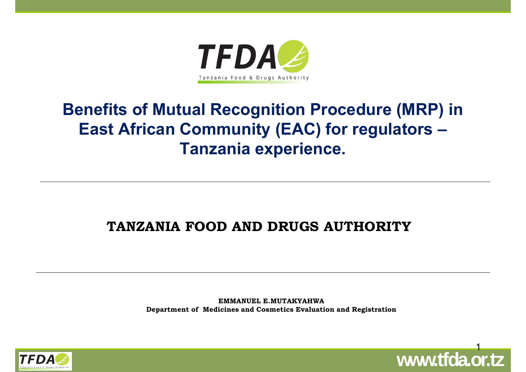

#### **Benefits of Mutual Recognition Procedure (MRP) in East African Community (EAC) for regulators – Tanzania experience.**

#### **TANZANIA FOOD AND DRUGS AUTHORITY**

**EMMANUEL E.MUTAKYAHWADepartment of Medicines and Cosmetics Evaluation and Registration**



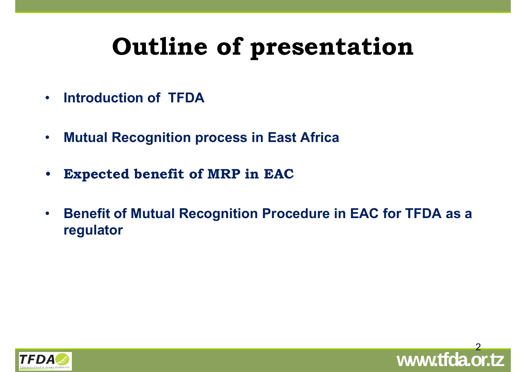# **Outline of presentation**

- •**Introduction of TFDA**
- •**Mutual Recognition process in East Africa**
- $\bullet$ **Expected benefit of MRP in EAC**
- • **Benefit of Mutual Recognition Procedure in EAC for TFDA as a regulator**



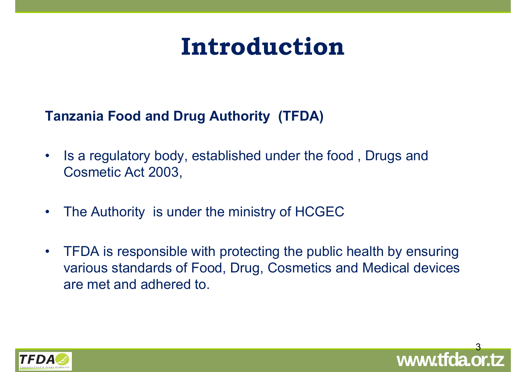## **Introduction**

**Tanzania Food and Drug Authority (TFDA)** 

- • Is a regulatory body, established under the food , Drugs and Cosmetic Act 2003,
- •The Authority is under the ministry of HCGEC
- • TFDA is responsible with protecting the public health by ensuring various standards of Food, Drug, Cosmetics and Medical devices are met and adhered to.



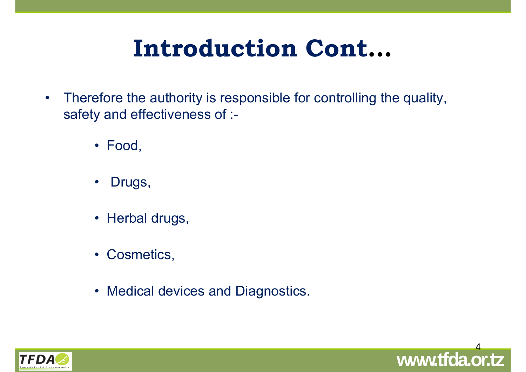# **Introduction Cont…**

- $\bullet$  Therefore the authority is responsible for controlling the quality, safety and effectiveness of :-
	- Food,
	- $\bullet$ Drugs,
	- Herbal drugs,
	- Cosmetics,
	- Medical devices and Diagnostics.



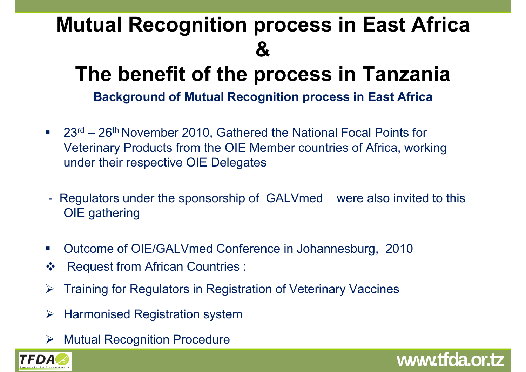## **Mutual Recognition process in East Africa &**

## **The benefit of the process in Tanzania**

**Background of Mutual Recognition process in East Africa**

- $\overline{\phantom{a}}$  23rd – 26th November 2010, Gathered the National Focal Points for Veterinary Products from the OIE Member countries of Africa, working under their respective OIE Delegates
- - Regulators under the sponsorship of GALVmed were also invited to this OIE gathering

**www.tfda.or.tz**

- $\mathbb{R}^n$ Outcome of OIE/GALVmed Conference in Johannesburg, 2010
- $\frac{1}{2}$ Request from African Countries :
- $\blacktriangleright$ Training for Regulators in Registration of Veterinary Vaccines
- $\blacktriangleright$ Harmonised Registration system
- **▶ Mutual Recognition Procedure**

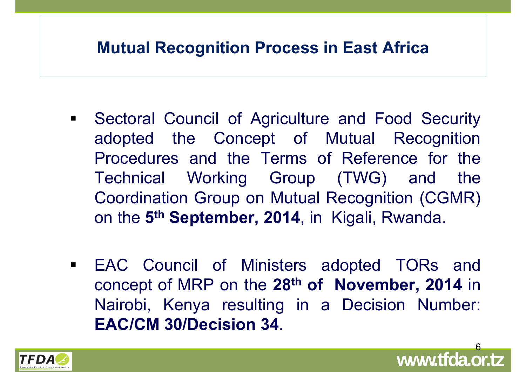#### **Mutual Recognition Process in East Africa**

- $\blacksquare$  Sectoral Council of Agriculture and Food Security adopted the Concept of Mutual Recognition Procedures and the Terms of Reference for the Technical Working Group (TWG) and the Coordination Group on Mutual Recognition (CGMR) on the **5th September, 2014**, in Kigali, Rwanda.
- EAC Council of Ministers adopted TORs and concept of MRP on the **28th of November, 2014** in Nairobi, Kenya resulting in <sup>a</sup> Decision Number: **EAC/CM 30/Decision 34**.



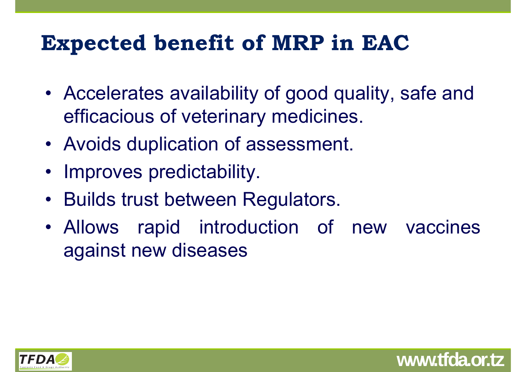### **Expected benefit of MRP in EAC**

- Accelerates availability of good quality, safe and efficacious of veterinary medicines.
- Avoids duplication of assessment.
- Improves predictability.
- Builds trust between Regulators.
- Allows rapid introduction of new vaccines against new diseases

**www.tfda.or.tz**

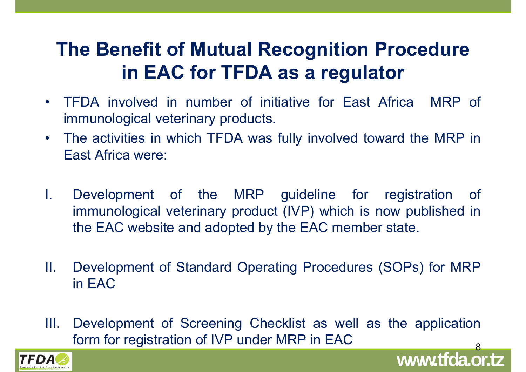#### **The Benefit of Mutual Recognition Procedure in EAC for TFDA as a regulator**

- • TFDA involved in number of initiative for East Africa MRP of immunological veterinary products.
- $\bullet$  The activities in which TFDA was fully involved toward the MRP in East Africa were:
- I. Development of the MRP guideline for registration of immunological veterinary product (IVP) which is now published in the EAC website and adopted by the EAC member state.
- II. Development of Standard Operating Procedures (SOPs) for MRP in EAC
- **www.tfda.or.tz** 8 III. Development of Screening Checklist as well as the application form for registration of IVP under MRP in EAC

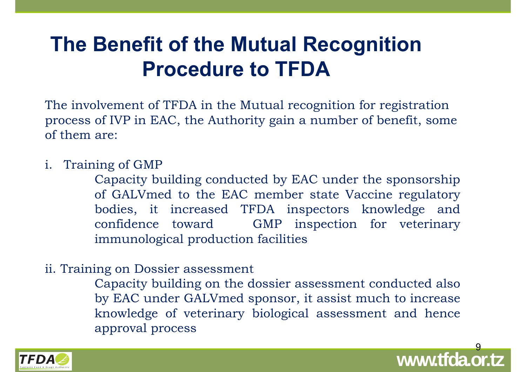#### **The Benefit of the Mutual Recognition Procedure to TFDA**

The involvement of TFDA in the Mutual recognition for registration process of IVP in EAC, the Authority gain a number of benefit, some of them are:

i. Training of GMP

Capacity building conducted by EAC under the sponsorship of GALVmed to the EAC member state Vaccine regulatory bodies, it increased TFDA inspectors knowledge and confidence toward GMP inspection for veterinary immunological production facilities

ii. Training on Dossier assessment

Capacity building on the dossier assessment conducted also by EAC under GALVmed sponsor, it assist much to increase knowledge of veterinary biological assessment and hence approval process



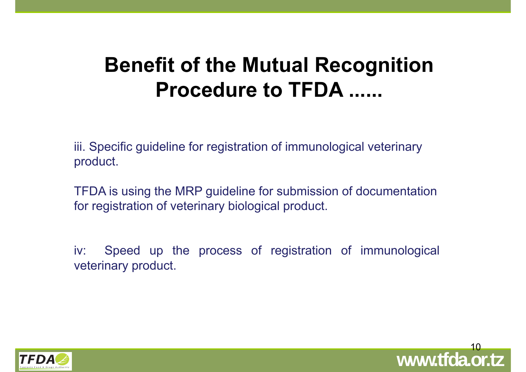#### **Benefit of the Mutual Recognition Procedure to TFDA ......**

iii. Specific guideline for registration of immunological veterinary product.

TFDA is using the MRP guideline for submission of documentation for registration of veterinary biological product.

iv: Speed up the process of registration of immunological veterinary product.